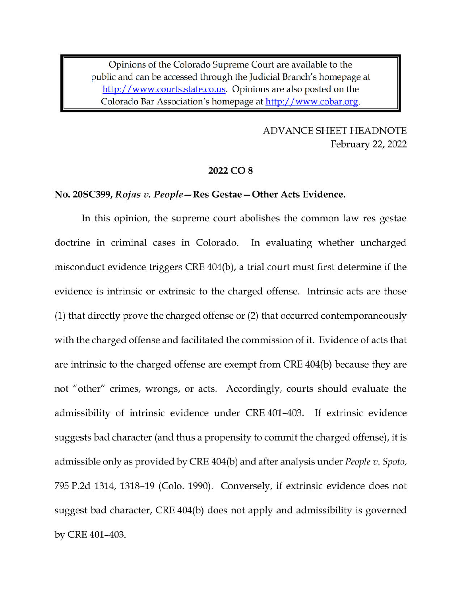Opinions of the Colorado Supreme Court are available to the public and can be accessed through the Judicial Branch's homepage at http://www.courts.state.co.us. Opinions are also posted on the Colorado Bar Association's homepage at http://www.cobar.org.

> **ADVANCE SHEET HEADNOTE** February 22, 2022

### 2022 CO<sub>8</sub>

#### No. 20SC399, Rojas v. People – Res Gestae – Other Acts Evidence.

In this opinion, the supreme court abolishes the common law res gestae doctrine in criminal cases in Colorado. In evaluating whether uncharged misconduct evidence triggers CRE 404(b), a trial court must first determine if the evidence is intrinsic or extrinsic to the charged offense. Intrinsic acts are those (1) that directly prove the charged offense or (2) that occurred contemporaneously with the charged offense and facilitated the commission of it. Evidence of acts that are intrinsic to the charged offense are exempt from CRE 404(b) because they are not "other" crimes, wrongs, or acts. Accordingly, courts should evaluate the admissibility of intrinsic evidence under CRE 401-403. If extrinsic evidence suggests bad character (and thus a propensity to commit the charged offense), it is admissible only as provided by CRE 404(b) and after analysis under *People v. Spoto*, 795 P.2d 1314, 1318-19 (Colo. 1990). Conversely, if extrinsic evidence does not suggest bad character, CRE 404(b) does not apply and admissibility is governed by CRE 401-403.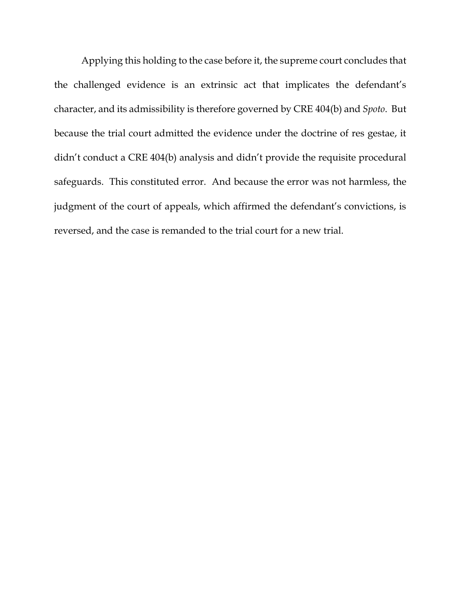Applying this holding to the case before it, the supreme court concludes that the challenged evidence is an extrinsic act that implicates the defendant's character, and its admissibility is therefore governed by CRE 404(b) and *Spoto*. But because the trial court admitted the evidence under the doctrine of res gestae, it didn't conduct a CRE 404(b) analysis and didn't provide the requisite procedural safeguards. This constituted error. And because the error was not harmless, the judgment of the court of appeals, which affirmed the defendant's convictions, is reversed, and the case is remanded to the trial court for a new trial.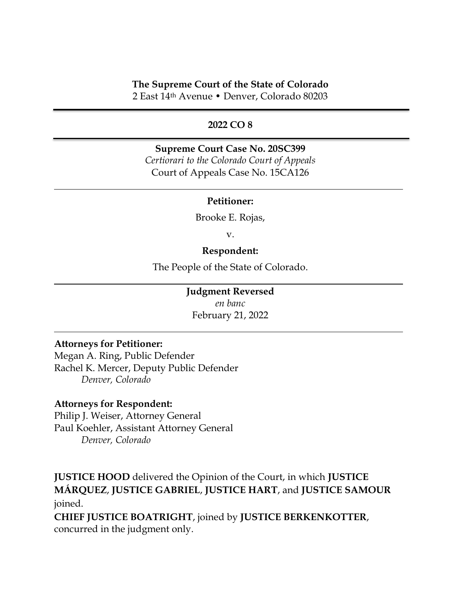# **The Supreme Court of the State of Colorado**

2 East 14th Avenue • Denver, Colorado 80203

# **2022 CO 8**

# **Supreme Court Case No. 20SC399**

*Certiorari to the Colorado Court of Appeals* Court of Appeals Case No. 15CA126

## **Petitioner:**

Brooke E. Rojas,

v.

## **Respondent:**

The People of the State of Colorado.

## **Judgment Reversed**

*en banc* February 21, 2022

# **Attorneys for Petitioner:**

Megan A. Ring, Public Defender Rachel K. Mercer, Deputy Public Defender *Denver, Colorado*

### **Attorneys for Respondent:**

Philip J. Weiser, Attorney General Paul Koehler, Assistant Attorney General *Denver, Colorado*

**JUSTICE HOOD** delivered the Opinion of the Court, in which **JUSTICE MÁRQUEZ**, **JUSTICE GABRIEL**, **JUSTICE HART**, and **JUSTICE SAMOUR** joined.

**CHIEF JUSTICE BOATRIGHT**, joined by **JUSTICE BERKENKOTTER**, concurred in the judgment only.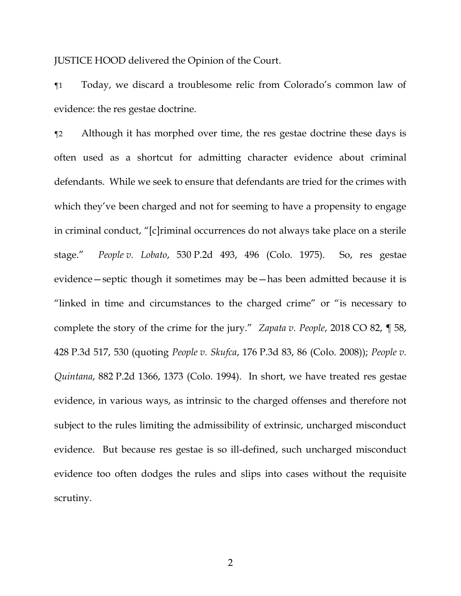JUSTICE HOOD delivered the Opinion of the Court.

¶1 Today, we discard a troublesome relic from Colorado's common law of evidence: the res gestae doctrine.

¶2 Although it has morphed over time, the res gestae doctrine these days is often used as a shortcut for admitting character evidence about criminal defendants. While we seek to ensure that defendants are tried for the crimes with which they've been charged and not for seeming to have a propensity to engage in criminal conduct, "[c]riminal occurrences do not always take place on a sterile stage." *People v. Lobato*, 530 P.2d 493, 496 (Colo. 1975). So, res gestae evidence—septic though it sometimes may be—has been admitted because it is "linked in time and circumstances to the charged crime" or "is necessary to complete the story of the crime for the jury." *Zapata v. People*, 2018 CO 82, ¶ 58, 428 P.3d 517, 530 (quoting *People v. Skufca*, 176 P.3d 83, 86 (Colo. 2008)); *People v. Quintana*, 882 P.2d 1366, 1373 (Colo. 1994). In short, we have treated res gestae evidence, in various ways, as intrinsic to the charged offenses and therefore not subject to the rules limiting the admissibility of extrinsic, uncharged misconduct evidence. But because res gestae is so ill-defined, such uncharged misconduct evidence too often dodges the rules and slips into cases without the requisite scrutiny.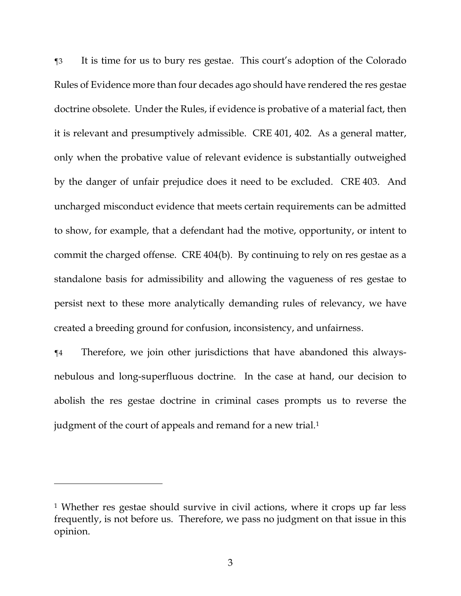¶3 It is time for us to bury res gestae. This court's adoption of the Colorado Rules of Evidence more than four decades ago should have rendered the res gestae doctrine obsolete. Under the Rules, if evidence is probative of a material fact, then it is relevant and presumptively admissible. CRE 401, 402. As a general matter, only when the probative value of relevant evidence is substantially outweighed by the danger of unfair prejudice does it need to be excluded. CRE 403. And uncharged misconduct evidence that meets certain requirements can be admitted to show, for example, that a defendant had the motive, opportunity, or intent to commit the charged offense. CRE 404(b). By continuing to rely on res gestae as a standalone basis for admissibility and allowing the vagueness of res gestae to persist next to these more analytically demanding rules of relevancy, we have created a breeding ground for confusion, inconsistency, and unfairness.

¶4 Therefore, we join other jurisdictions that have abandoned this alwaysnebulous and long-superfluous doctrine. In the case at hand, our decision to abolish the res gestae doctrine in criminal cases prompts us to reverse the judgment of the court of appeals and remand for a new trial.<sup>1</sup>

<sup>1</sup> Whether res gestae should survive in civil actions, where it crops up far less frequently, is not before us. Therefore, we pass no judgment on that issue in this opinion.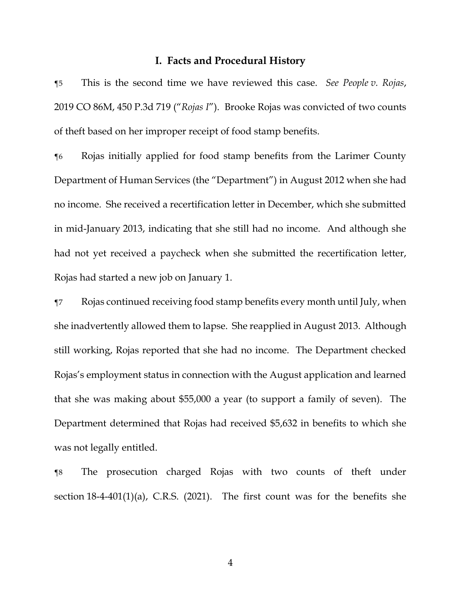### **I. Facts and Procedural History**

¶5 This is the second time we have reviewed this case. *See People v. Rojas*, 2019 CO 86M, 450 P.3d 719 ("*Rojas I*"). Brooke Rojas was convicted of two counts of theft based on her improper receipt of food stamp benefits.

¶6 Rojas initially applied for food stamp benefits from the Larimer County Department of Human Services (the "Department") in August 2012 when she had no income. She received a recertification letter in December, which she submitted in mid-January 2013, indicating that she still had no income. And although she had not yet received a paycheck when she submitted the recertification letter, Rojas had started a new job on January 1.

¶7 Rojas continued receiving food stamp benefits every month until July, when she inadvertently allowed them to lapse. She reapplied in August 2013. Although still working, Rojas reported that she had no income. The Department checked Rojas's employment status in connection with the August application and learned that she was making about \$55,000 a year (to support a family of seven). The Department determined that Rojas had received \$5,632 in benefits to which she was not legally entitled.

¶8 The prosecution charged Rojas with two counts of theft under section  $18-4-401(1)(a)$ , C.R.S. (2021). The first count was for the benefits she

4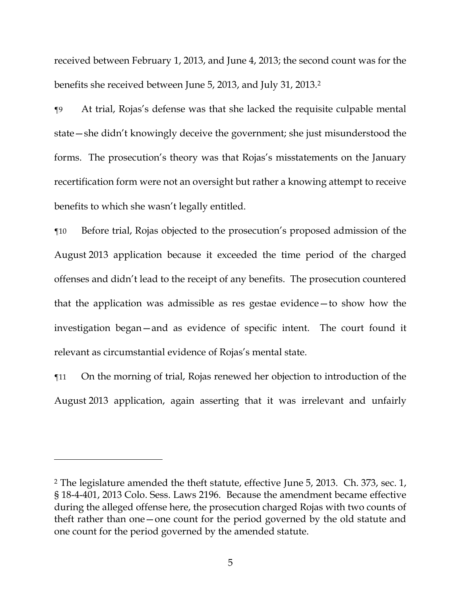received between February 1, 2013, and June 4, 2013; the second count was for the benefits she received between June 5, 2013, and July 31, 2013.<sup>2</sup>

¶9 At trial, Rojas's defense was that she lacked the requisite culpable mental state—she didn't knowingly deceive the government; she just misunderstood the forms. The prosecution's theory was that Rojas's misstatements on the January recertification form were not an oversight but rather a knowing attempt to receive benefits to which she wasn't legally entitled.

¶10 Before trial, Rojas objected to the prosecution's proposed admission of the August 2013 application because it exceeded the time period of the charged offenses and didn't lead to the receipt of any benefits. The prosecution countered that the application was admissible as res gestae evidence—to show how the investigation began—and as evidence of specific intent. The court found it relevant as circumstantial evidence of Rojas's mental state.

¶11 On the morning of trial, Rojas renewed her objection to introduction of the August 2013 application, again asserting that it was irrelevant and unfairly

<sup>2</sup> The legislature amended the theft statute, effective June 5, 2013. Ch. 373, sec. 1, § 18-4-401, 2013 Colo. Sess. Laws 2196. Because the amendment became effective during the alleged offense here, the prosecution charged Rojas with two counts of theft rather than one—one count for the period governed by the old statute and one count for the period governed by the amended statute.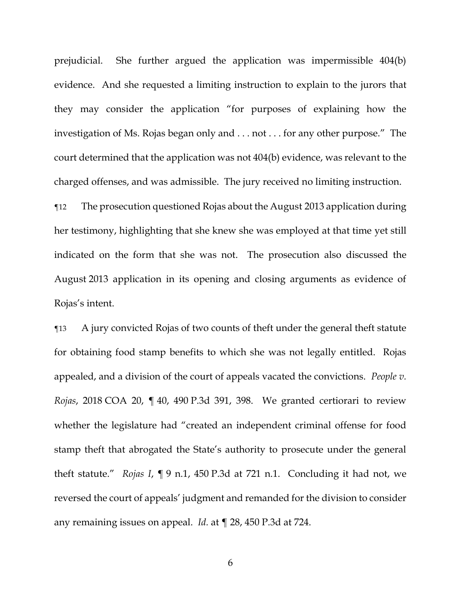prejudicial. She further argued the application was impermissible 404(b) evidence. And she requested a limiting instruction to explain to the jurors that they may consider the application "for purposes of explaining how the investigation of Ms. Rojas began only and . . . not . . . for any other purpose." The court determined that the application was not 404(b) evidence, was relevant to the charged offenses, and was admissible. The jury received no limiting instruction.

¶12 The prosecution questioned Rojas about the August 2013 application during her testimony, highlighting that she knew she was employed at that time yet still indicated on the form that she was not. The prosecution also discussed the August 2013 application in its opening and closing arguments as evidence of Rojas's intent.

¶13 A jury convicted Rojas of two counts of theft under the general theft statute for obtaining food stamp benefits to which she was not legally entitled. Rojas appealed, and a division of the court of appeals vacated the convictions. *People v. Rojas*, 2018 COA 20, ¶ 40, 490 P.3d 391, 398. We granted certiorari to review whether the legislature had "created an independent criminal offense for food stamp theft that abrogated the State's authority to prosecute under the general theft statute." *Rojas I*, ¶ 9 n.1, 450 P.3d at 721 n.1. Concluding it had not, we reversed the court of appeals' judgment and remanded for the division to consider any remaining issues on appeal. *Id.* at ¶ 28, 450 P.3d at 724.

6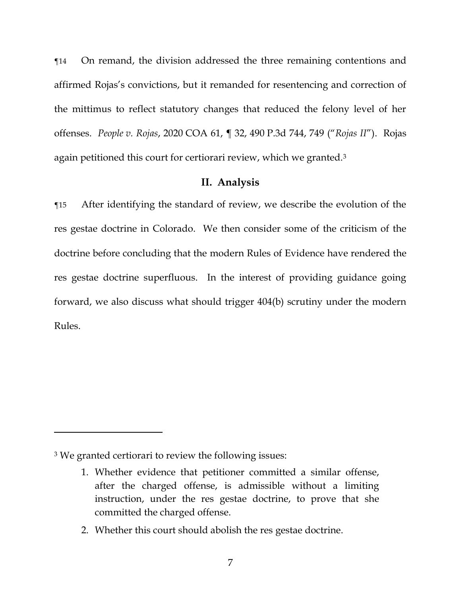¶14 On remand, the division addressed the three remaining contentions and affirmed Rojas's convictions, but it remanded for resentencing and correction of the mittimus to reflect statutory changes that reduced the felony level of her offenses. *People v. Rojas*, 2020 COA 61, ¶ 32, 490 P.3d 744, 749 ("*Rojas II*"). Rojas again petitioned this court for certiorari review, which we granted.<sup>3</sup>

## **II. Analysis**

¶15 After identifying the standard of review, we describe the evolution of the res gestae doctrine in Colorado. We then consider some of the criticism of the doctrine before concluding that the modern Rules of Evidence have rendered the res gestae doctrine superfluous. In the interest of providing guidance going forward, we also discuss what should trigger 404(b) scrutiny under the modern Rules.

<sup>3</sup> We granted certiorari to review the following issues:

<sup>1.</sup> Whether evidence that petitioner committed a similar offense, after the charged offense, is admissible without a limiting instruction, under the res gestae doctrine, to prove that she committed the charged offense.

<sup>2.</sup> Whether this court should abolish the res gestae doctrine.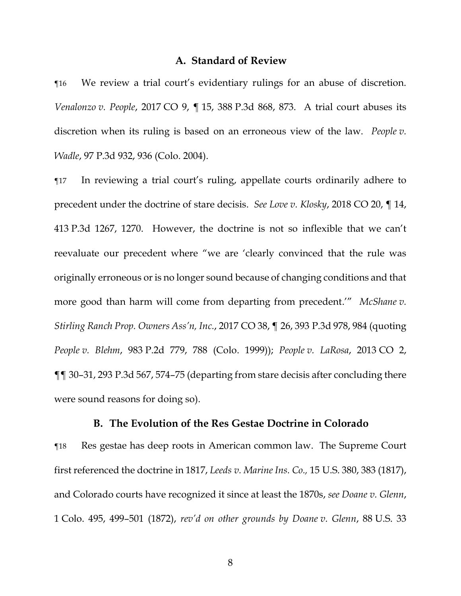## **A. Standard of Review**

¶16 We review a trial court's evidentiary rulings for an abuse of discretion. *Venalonzo v. People*, 2017 CO 9, ¶ 15, 388 P.3d 868, 873. A trial court abuses its discretion when its ruling is based on an erroneous view of the law. *People v. Wadle*, 97 P.3d 932, 936 (Colo. 2004).

¶17 In reviewing a trial court's ruling, appellate courts ordinarily adhere to precedent under the doctrine of stare decisis. *See Love v. Klosky*, 2018 CO 20, ¶ 14, 413 P.3d 1267, 1270. However, the doctrine is not so inflexible that we can't reevaluate our precedent where "we are 'clearly convinced that the rule was originally erroneous or is no longer sound because of changing conditions and that more good than harm will come from departing from precedent.'" *McShane v. Stirling Ranch Prop. Owners Ass'n, Inc.*, 2017 CO 38, ¶ 26, 393 P.3d 978, 984 (quoting *People v. Blehm*, 983 P.2d 779, 788 (Colo. 1999)); *People v. LaRosa*, 2013 CO 2, ¶¶ 30–31, 293 P.3d 567, 574–75 (departing from stare decisis after concluding there were sound reasons for doing so).

### **B. The Evolution of the Res Gestae Doctrine in Colorado**

¶18 Res gestae has deep roots in American common law. The Supreme Court first referenced the doctrine in 1817, *Leeds v. Marine Ins. Co.,* 15 U.S. 380, 383 (1817), and Colorado courts have recognized it since at least the 1870s, *see Doane v. Glenn*, 1 Colo. 495, 499–501 (1872), *rev'd on other grounds by Doane v. Glenn*, 88 U.S. 33

8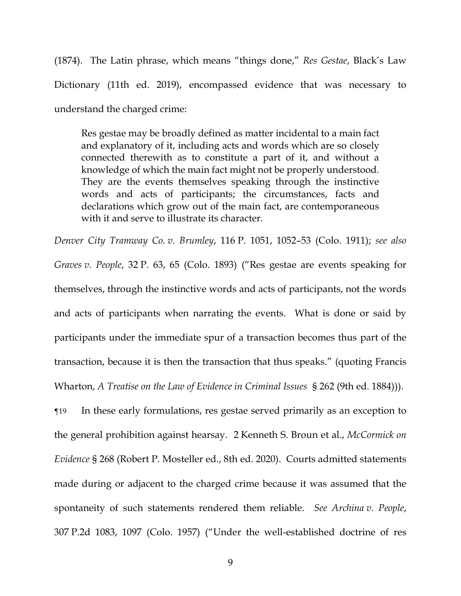(1874). The Latin phrase, which means "things done," *Res Gestae*, Black's Law Dictionary (11th ed. 2019), encompassed evidence that was necessary to understand the charged crime:

Res gestae may be broadly defined as matter incidental to a main fact and explanatory of it, including acts and words which are so closely connected therewith as to constitute a part of it, and without a knowledge of which the main fact might not be properly understood. They are the events themselves speaking through the instinctive words and acts of participants; the circumstances, facts and declarations which grow out of the main fact, are contemporaneous with it and serve to illustrate its character.

*Denver City Tramway Co. v. Brumley*, 116 P. 1051, 1052–53 (Colo. 1911); *see also Graves v. People*, 32 P. 63, 65 (Colo. 1893) ("Res gestae are events speaking for themselves, through the instinctive words and acts of participants, not the words and acts of participants when narrating the events. What is done or said by participants under the immediate spur of a transaction becomes thus part of the transaction, because it is then the transaction that thus speaks." (quoting Francis Wharton, *A Treatise on the Law of Evidence in Criminal Issues* § 262 (9th ed. 1884))).

¶19 In these early formulations, res gestae served primarily as an exception to the general prohibition against hearsay. 2 Kenneth S. Broun et al., *McCormick on Evidence* § 268 (Robert P. Mosteller ed., 8th ed. 2020). Courts admitted statements made during or adjacent to the charged crime because it was assumed that the spontaneity of such statements rendered them reliable. *See Archina v. People*, 307 P.2d 1083, 1097 (Colo. 1957) ("Under the well-established doctrine of res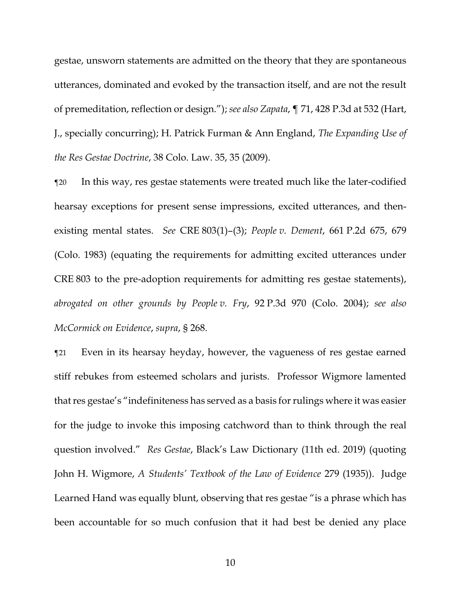gestae, unsworn statements are admitted on the theory that they are spontaneous utterances, dominated and evoked by the transaction itself, and are not the result of premeditation, reflection or design."); *see also Zapata*, ¶ 71, 428 P.3d at 532 (Hart, J., specially concurring); H. Patrick Furman & Ann England, *The Expanding Use of the Res Gestae Doctrine*, 38 Colo. Law. 35, 35 (2009).

¶20 In this way, res gestae statements were treated much like the later-codified hearsay exceptions for present sense impressions, excited utterances, and thenexisting mental states. *See* CRE 803(1)–(3); *People v. Dement*, 661 P.2d 675, 679 (Colo. 1983) (equating the requirements for admitting excited utterances under CRE 803 to the pre-adoption requirements for admitting res gestae statements), *abrogated on other grounds by People v. Fry*, 92 P.3d 970 (Colo. 2004); *see also McCormick on Evidence*, *supra*, § 268.

¶21 Even in its hearsay heyday, however, the vagueness of res gestae earned stiff rebukes from esteemed scholars and jurists. Professor Wigmore lamented that res gestae's "indefiniteness has served as a basis for rulings where it was easier for the judge to invoke this imposing catchword than to think through the real question involved." *Res Gestae*, Black's Law Dictionary (11th ed. 2019) (quoting John H. Wigmore, *A Students' Textbook of the Law of Evidence* 279 (1935)). Judge Learned Hand was equally blunt, observing that res gestae "is a phrase which has been accountable for so much confusion that it had best be denied any place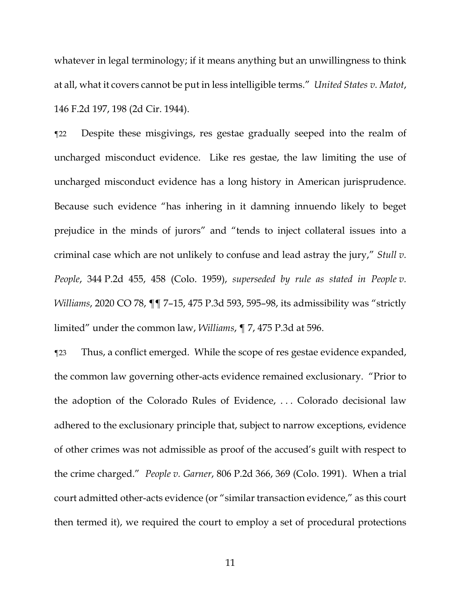whatever in legal terminology; if it means anything but an unwillingness to think at all, what it covers cannot be put in less intelligible terms." *United States v. Matot*, 146 F.2d 197, 198 (2d Cir. 1944).

¶22 Despite these misgivings, res gestae gradually seeped into the realm of uncharged misconduct evidence. Like res gestae, the law limiting the use of uncharged misconduct evidence has a long history in American jurisprudence. Because such evidence "has inhering in it damning innuendo likely to beget prejudice in the minds of jurors" and "tends to inject collateral issues into a criminal case which are not unlikely to confuse and lead astray the jury," *Stull v. People*, 344 P.2d 455, 458 (Colo. 1959), *superseded by rule as stated in People v. Williams*, 2020 CO 78, ¶¶ 7–15, 475 P.3d 593, 595–98, its admissibility was "strictly limited" under the common law, *Williams*, ¶ 7, 475 P.3d at 596.

¶23 Thus, a conflict emerged. While the scope of res gestae evidence expanded, the common law governing other-acts evidence remained exclusionary. "Prior to the adoption of the Colorado Rules of Evidence, . . . Colorado decisional law adhered to the exclusionary principle that, subject to narrow exceptions, evidence of other crimes was not admissible as proof of the accused's guilt with respect to the crime charged." *People v. Garner*, 806 P.2d 366, 369 (Colo. 1991). When a trial court admitted other-acts evidence (or "similar transaction evidence," as this court then termed it), we required the court to employ a set of procedural protections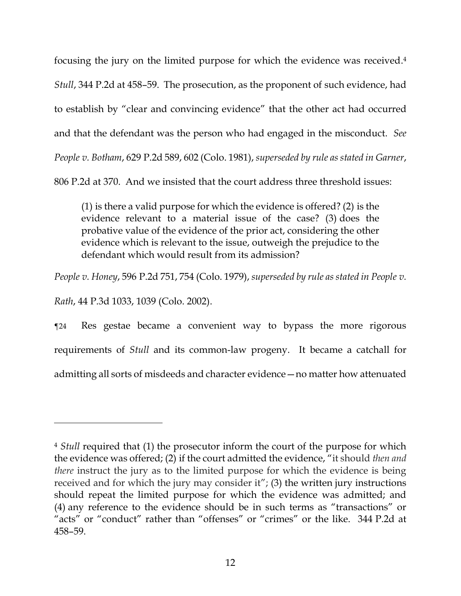focusing the jury on the limited purpose for which the evidence was received. 4 *Stull*, 344 P.2d at 458–59. The prosecution, as the proponent of such evidence, had to establish by "clear and convincing evidence" that the other act had occurred and that the defendant was the person who had engaged in the misconduct. *See People v. Botham*, 629 P.2d 589, 602 (Colo. 1981), *superseded by rule as stated in Garner*, 806 P.2d at 370. And we insisted that the court address three threshold issues:

(1) is there a valid purpose for which the evidence is offered? (2) is the evidence relevant to a material issue of the case? (3) does the probative value of the evidence of the prior act, considering the other evidence which is relevant to the issue, outweigh the prejudice to the defendant which would result from its admission?

*People v. Honey*, 596 P.2d 751, 754 (Colo. 1979), *superseded by rule as stated in People v.* 

*Rath*, 44 P.3d 1033, 1039 (Colo. 2002).

¶24 Res gestae became a convenient way to bypass the more rigorous requirements of *Stull* and its common-law progeny. It became a catchall for admitting all sorts of misdeeds and character evidence—no matter how attenuated

<sup>4</sup> *Stull* required that (1) the prosecutor inform the court of the purpose for which the evidence was offered; (2) if the court admitted the evidence, "it should *then and there* instruct the jury as to the limited purpose for which the evidence is being received and for which the jury may consider it"; (3) the written jury instructions should repeat the limited purpose for which the evidence was admitted; and (4) any reference to the evidence should be in such terms as "transactions" or "acts" or "conduct" rather than "offenses" or "crimes" or the like. 344 P.2d at 458–59.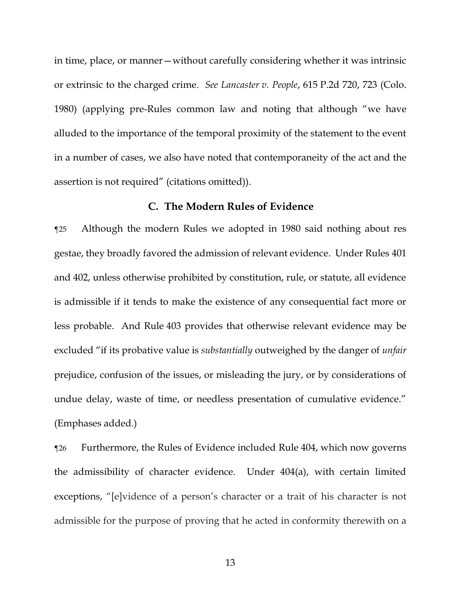in time, place, or manner—without carefully considering whether it was intrinsic or extrinsic to the charged crime. *See Lancaster v. People*, 615 P.2d 720, 723 (Colo. 1980) (applying pre-Rules common law and noting that although "we have alluded to the importance of the temporal proximity of the statement to the event in a number of cases, we also have noted that contemporaneity of the act and the assertion is not required" (citations omitted)).

# **C. The Modern Rules of Evidence**

¶25 Although the modern Rules we adopted in 1980 said nothing about res gestae, they broadly favored the admission of relevant evidence. Under Rules 401 and 402, unless otherwise prohibited by constitution, rule, or statute, all evidence is admissible if it tends to make the existence of any consequential fact more or less probable. And Rule 403 provides that otherwise relevant evidence may be excluded "if its probative value is *substantially* outweighed by the danger of *unfair* prejudice, confusion of the issues, or misleading the jury, or by considerations of undue delay, waste of time, or needless presentation of cumulative evidence." (Emphases added.)

¶26 Furthermore, the Rules of Evidence included Rule 404, which now governs the admissibility of character evidence. Under 404(a), with certain limited exceptions, "[e]vidence of a person's character or a trait of his character is not admissible for the purpose of proving that he acted in conformity therewith on a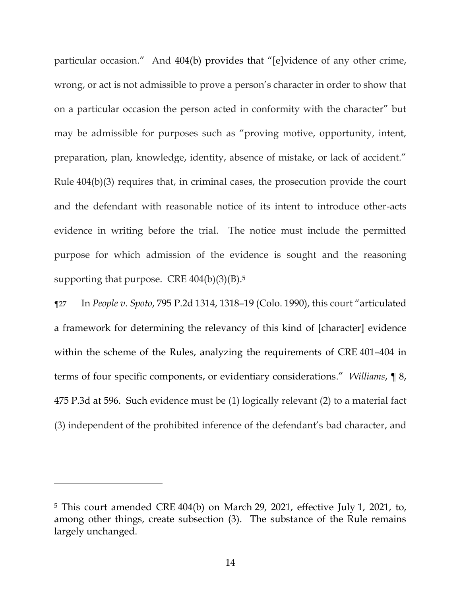particular occasion." And 404(b) provides that "[e]vidence of any other crime, wrong, or act is not admissible to prove a person's character in order to show that on a particular occasion the person acted in conformity with the character" but may be admissible for purposes such as "proving motive, opportunity, intent, preparation, plan, knowledge, identity, absence of mistake, or lack of accident." Rule 404(b)(3) requires that, in criminal cases, the prosecution provide the court and the defendant with reasonable notice of its intent to introduce other-acts evidence in writing before the trial. The notice must include the permitted purpose for which admission of the evidence is sought and the reasoning supporting that purpose. CRE  $404(b)(3)(B)$ .<sup>5</sup>

¶27 In *People v. Spoto*, 795 P.2d 1314, 1318–19 (Colo. 1990), this court "articulated a framework for determining the relevancy of this kind of [character] evidence within the scheme of the Rules, analyzing the requirements of CRE 401–404 in terms of four specific components, or evidentiary considerations." *Williams*, ¶ 8, 475 P.3d at 596. Such evidence must be (1) logically relevant (2) to a material fact (3) independent of the prohibited inference of the defendant's bad character, and

<sup>5</sup> This court amended CRE 404(b) on March 29, 2021, effective July 1, 2021, to, among other things, create subsection (3). The substance of the Rule remains largely unchanged.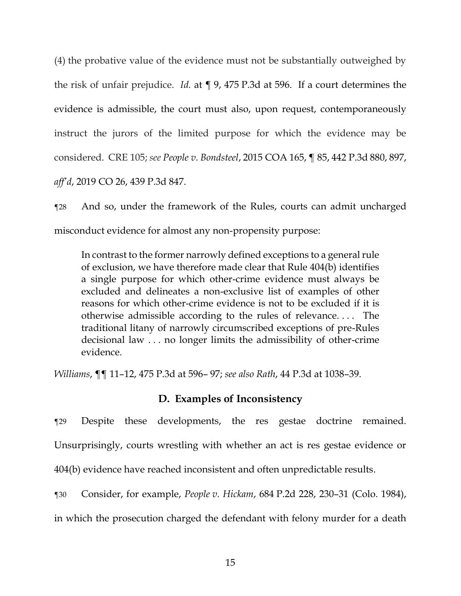(4) the probative value of the evidence must not be substantially outweighed by the risk of unfair prejudice. *Id.* at ¶ 9, 475 P.3d at 596. If a court determines the evidence is admissible, the court must also, upon request, contemporaneously instruct the jurors of the limited purpose for which the evidence may be considered. CRE 105; *see People v. Bondsteel*, 2015 COA 165, ¶ 85, 442 P.3d 880, 897, *aff'd*, 2019 CO 26, 439 P.3d 847.

¶28 And so, under the framework of the Rules, courts can admit uncharged misconduct evidence for almost any non-propensity purpose:

In contrast to the former narrowly defined exceptions to a general rule of exclusion, we have therefore made clear that Rule 404(b) identifies a single purpose for which other-crime evidence must always be excluded and delineates a non-exclusive list of examples of other reasons for which other-crime evidence is not to be excluded if it is otherwise admissible according to the rules of relevance. . . . The traditional litany of narrowly circumscribed exceptions of pre-Rules decisional law . . . no longer limits the admissibility of other-crime evidence.

*Williams*, ¶¶ 11–12, 475 P.3d at 596– 97; *see also Rath*, 44 P.3d at 1038–39.

# **D. Examples of Inconsistency**

¶29 Despite these developments, the res gestae doctrine remained. Unsurprisingly, courts wrestling with whether an act is res gestae evidence or 404(b) evidence have reached inconsistent and often unpredictable results.

¶30 Consider, for example, *People v. Hickam*, 684 P.2d 228, 230–31 (Colo. 1984),

in which the prosecution charged the defendant with felony murder for a death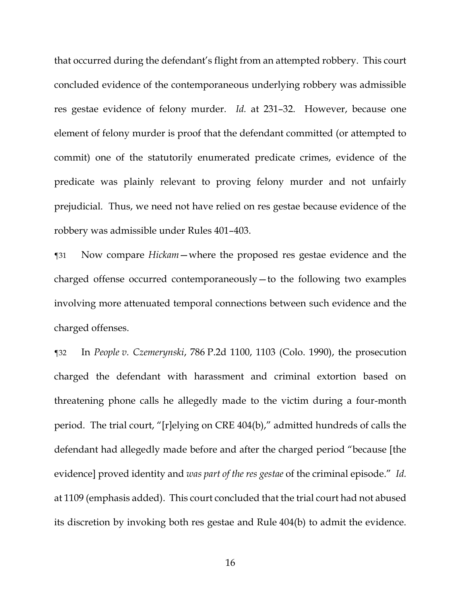that occurred during the defendant's flight from an attempted robbery. This court concluded evidence of the contemporaneous underlying robbery was admissible res gestae evidence of felony murder. *Id.* at 231–32. However, because one element of felony murder is proof that the defendant committed (or attempted to commit) one of the statutorily enumerated predicate crimes, evidence of the predicate was plainly relevant to proving felony murder and not unfairly prejudicial. Thus, we need not have relied on res gestae because evidence of the robbery was admissible under Rules 401–403.

¶31 Now compare *Hickam*—where the proposed res gestae evidence and the charged offense occurred contemporaneously—to the following two examples involving more attenuated temporal connections between such evidence and the charged offenses.

¶32 In *People v. Czemerynski*, 786 P.2d 1100, 1103 (Colo. 1990), the prosecution charged the defendant with harassment and criminal extortion based on threatening phone calls he allegedly made to the victim during a four-month period. The trial court, "[r]elying on CRE 404(b)," admitted hundreds of calls the defendant had allegedly made before and after the charged period "because [the evidence] proved identity and *was part of the res gestae* of the criminal episode." *Id.* at 1109 (emphasis added). This court concluded that the trial court had not abused its discretion by invoking both res gestae and Rule 404(b) to admit the evidence.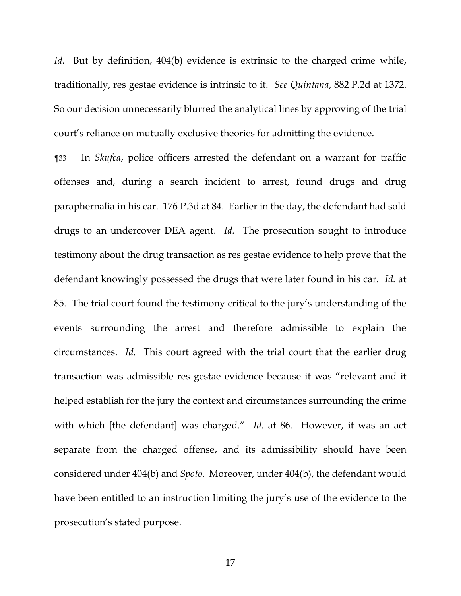*Id.* But by definition, 404(b) evidence is extrinsic to the charged crime while, traditionally, res gestae evidence is intrinsic to it. *See Quintana*, 882 P.2d at 1372. So our decision unnecessarily blurred the analytical lines by approving of the trial court's reliance on mutually exclusive theories for admitting the evidence.

¶33 In *Skufca*, police officers arrested the defendant on a warrant for traffic offenses and, during a search incident to arrest, found drugs and drug paraphernalia in his car. 176 P.3d at 84. Earlier in the day, the defendant had sold drugs to an undercover DEA agent. *Id.* The prosecution sought to introduce testimony about the drug transaction as res gestae evidence to help prove that the defendant knowingly possessed the drugs that were later found in his car. *Id.* at 85. The trial court found the testimony critical to the jury's understanding of the events surrounding the arrest and therefore admissible to explain the circumstances. *Id.* This court agreed with the trial court that the earlier drug transaction was admissible res gestae evidence because it was "relevant and it helped establish for the jury the context and circumstances surrounding the crime with which [the defendant] was charged." *Id.* at 86. However, it was an act separate from the charged offense, and its admissibility should have been considered under 404(b) and *Spoto*. Moreover, under 404(b), the defendant would have been entitled to an instruction limiting the jury's use of the evidence to the prosecution's stated purpose.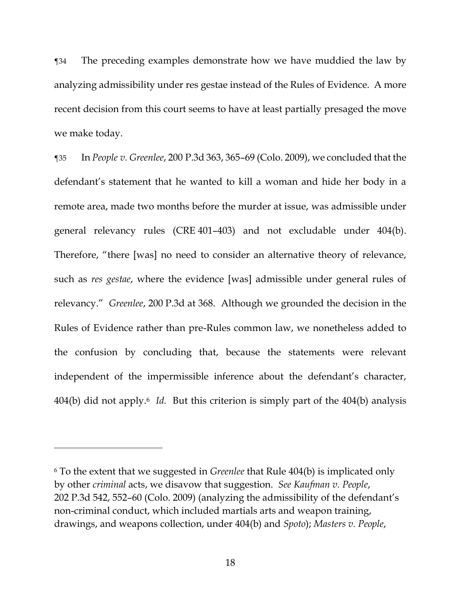¶34 The preceding examples demonstrate how we have muddied the law by analyzing admissibility under res gestae instead of the Rules of Evidence. A more recent decision from this court seems to have at least partially presaged the move we make today.

¶35 In *People v. Greenlee*, 200 P.3d 363, 365–69 (Colo. 2009), we concluded that the defendant's statement that he wanted to kill a woman and hide her body in a remote area, made two months before the murder at issue, was admissible under general relevancy rules (CRE 401–403) and not excludable under 404(b). Therefore, "there [was] no need to consider an alternative theory of relevance, such as *res gestae*, where the evidence [was] admissible under general rules of relevancy." *Greenlee*, 200 P.3d at 368. Although we grounded the decision in the Rules of Evidence rather than pre-Rules common law, we nonetheless added to the confusion by concluding that, because the statements were relevant independent of the impermissible inference about the defendant's character, 404(b) did not apply.<sup>6</sup> *Id.* But this criterion is simply part of the 404(b) analysis

<sup>6</sup> To the extent that we suggested in *Greenlee* that Rule 404(b) is implicated only by other *criminal* acts, we disavow that suggestion. *See Kaufman v. People*, 202 P.3d 542, 552–60 (Colo. 2009) (analyzing the admissibility of the defendant's non-criminal conduct, which included martials arts and weapon training, drawings, and weapons collection, under 404(b) and *Spoto*); *Masters v. People*,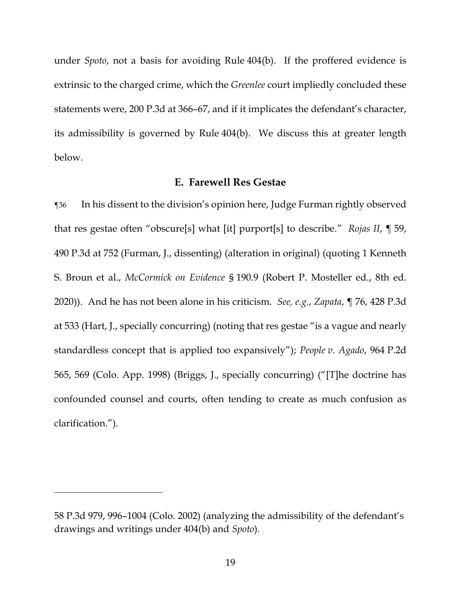under *Spoto*, not a basis for avoiding Rule 404(b). If the proffered evidence is extrinsic to the charged crime, which the *Greenlee* court impliedly concluded these statements were, 200 P.3d at 366–67, and if it implicates the defendant's character, its admissibility is governed by Rule 404(b). We discuss this at greater length below.

# **E. Farewell Res Gestae**

¶36 In his dissent to the division's opinion here, Judge Furman rightly observed that res gestae often "obscure[s] what [it] purport[s] to describe." *Rojas II*, ¶ 59, 490 P.3d at 752 (Furman, J., dissenting) (alteration in original) (quoting 1 Kenneth S. Broun et al., *McCormick on Evidence* § 190.9 (Robert P. Mosteller ed., 8th ed. 2020)). And he has not been alone in his criticism. *See, e.g.*, *Zapata*, ¶ 76, 428 P.3d at 533 (Hart, J., specially concurring) (noting that res gestae "is a vague and nearly standardless concept that is applied too expansively"); *People v. Agado*, 964 P.2d 565, 569 (Colo. App. 1998) (Briggs, J., specially concurring) ("[T]he doctrine has confounded counsel and courts, often tending to create as much confusion as clarification.").

<sup>58</sup> P.3d 979, 996–1004 (Colo. 2002) (analyzing the admissibility of the defendant's drawings and writings under 404(b) and *Spoto*).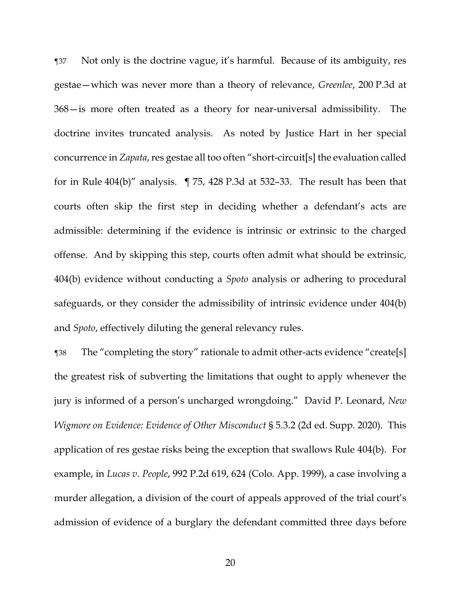¶37 Not only is the doctrine vague, it's harmful. Because of its ambiguity, res gestae—which was never more than a theory of relevance, *Greenlee*, 200 P.3d at 368—is more often treated as a theory for near-universal admissibility. The doctrine invites truncated analysis. As noted by Justice Hart in her special concurrence in *Zapata*, res gestae all too often "short-circuit[s] the evaluation called for in Rule 404(b)" analysis. ¶ 75, 428 P.3d at 532–33. The result has been that courts often skip the first step in deciding whether a defendant's acts are admissible: determining if the evidence is intrinsic or extrinsic to the charged offense. And by skipping this step, courts often admit what should be extrinsic, 404(b) evidence without conducting a *Spoto* analysis or adhering to procedural safeguards, or they consider the admissibility of intrinsic evidence under 404(b) and *Spoto*, effectively diluting the general relevancy rules.

¶38 The "completing the story" rationale to admit other-acts evidence "create[s] the greatest risk of subverting the limitations that ought to apply whenever the jury is informed of a person's uncharged wrongdoing." David P. Leonard, *New Wigmore on Evidence: Evidence of Other Misconduct* § 5.3.2 (2d ed. Supp. 2020). This application of res gestae risks being the exception that swallows Rule 404(b). For example, in *Lucas v. People*, 992 P.2d 619, 624 (Colo. App. 1999), a case involving a murder allegation, a division of the court of appeals approved of the trial court's admission of evidence of a burglary the defendant committed three days before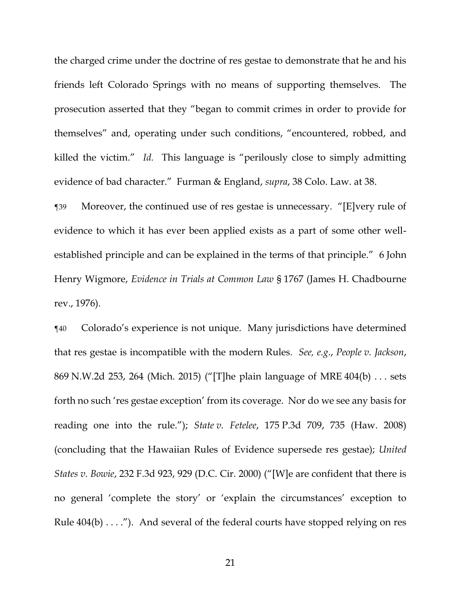the charged crime under the doctrine of res gestae to demonstrate that he and his friends left Colorado Springs with no means of supporting themselves. The prosecution asserted that they "began to commit crimes in order to provide for themselves" and, operating under such conditions, "encountered, robbed, and killed the victim." *Id.* This language is "perilously close to simply admitting evidence of bad character." Furman & England, *supra*, 38 Colo. Law. at 38.

¶39 Moreover, the continued use of res gestae is unnecessary. "[E]very rule of evidence to which it has ever been applied exists as a part of some other wellestablished principle and can be explained in the terms of that principle." 6 John Henry Wigmore, *Evidence in Trials at Common Law* § 1767 (James H. Chadbourne rev., 1976).

¶40 Colorado's experience is not unique. Many jurisdictions have determined that res gestae is incompatible with the modern Rules. *See, e.g.*, *People v. Jackson*, 869 N.W.2d 253, 264 (Mich. 2015) ("[T]he plain language of MRE 404(b) . . . sets forth no such 'res gestae exception' from its coverage. Nor do we see any basis for reading one into the rule."); *State v. Fetelee*, 175 P.3d 709, 735 (Haw. 2008) (concluding that the Hawaiian Rules of Evidence supersede res gestae); *United States v. Bowie*, 232 F.3d 923, 929 (D.C. Cir. 2000) ("[W]e are confident that there is no general 'complete the story' or 'explain the circumstances' exception to Rule  $404(b) \ldots$ ."). And several of the federal courts have stopped relying on res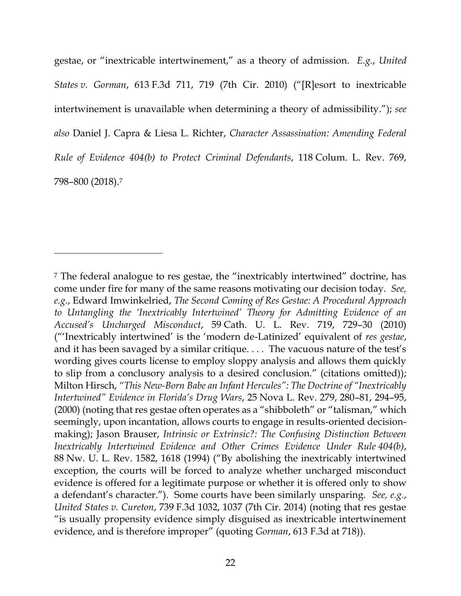gestae, or "inextricable intertwinement," as a theory of admission. *E.g.*, *United States v. Gorman*, 613 F.3d 711, 719 (7th Cir. 2010) ("[R]esort to inextricable intertwinement is unavailable when determining a theory of admissibility."); *see also* Daniel J. Capra & Liesa L. Richter, *Character Assassination: Amending Federal Rule of Evidence 404(b) to Protect Criminal Defendants*, 118 Colum. L. Rev. 769, 798–800 (2018). 7

<sup>7</sup> The federal analogue to res gestae, the "inextricably intertwined" doctrine, has come under fire for many of the same reasons motivating our decision today. *See, e.g.*, Edward Imwinkelried, *The Second Coming of Res Gestae: A Procedural Approach*  to Untangling the 'Inextricably Intertwined' Theory for Admitting Evidence of an *Accused's Uncharged Misconduct*, 59 Cath. U. L. Rev. 719, 729–30 (2010) ("'Inextricably intertwined' is the 'modern de-Latinized' equivalent of *res gestae*, and it has been savaged by a similar critique. . . . The vacuous nature of the test's wording gives courts license to employ sloppy analysis and allows them quickly to slip from a conclusory analysis to a desired conclusion." (citations omitted)); Milton Hirsch, *"This New-Born Babe an Infant Hercules": The Doctrine of "Inextricably Intertwined" Evidence in Florida's Drug Wars*, 25 Nova L. Rev. 279, 280–81, 294–95, (2000) (noting that res gestae often operates as a "shibboleth" or "talisman," which seemingly, upon incantation, allows courts to engage in results-oriented decisionmaking); Jason Brauser, *Intrinsic or Extrinsic?: The Confusing Distinction Between Inextricably Intertwined Evidence and Other Crimes Evidence Under Rule 404(b)*, 88 Nw. U. L. Rev. 1582, 1618 (1994) ("By abolishing the inextricably intertwined exception, the courts will be forced to analyze whether uncharged misconduct evidence is offered for a legitimate purpose or whether it is offered only to show a defendant's character."). Some courts have been similarly unsparing. *See, e.g.*, *United States v. Cureton*, 739 F.3d 1032, 1037 (7th Cir. 2014) (noting that res gestae "is usually propensity evidence simply disguised as inextricable intertwinement evidence, and is therefore improper" (quoting *Gorman*, 613 F.3d at 718)).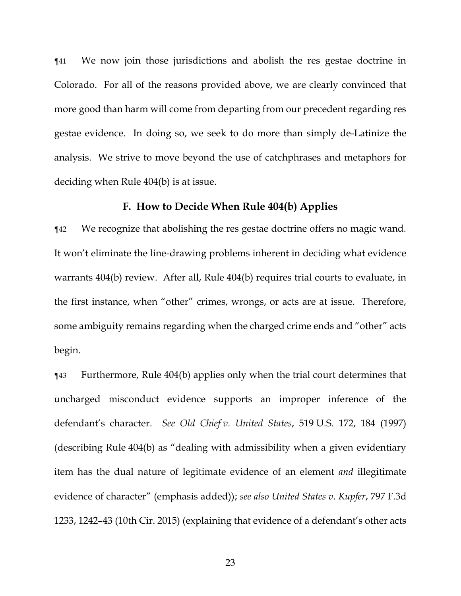¶41 We now join those jurisdictions and abolish the res gestae doctrine in Colorado. For all of the reasons provided above, we are clearly convinced that more good than harm will come from departing from our precedent regarding res gestae evidence. In doing so, we seek to do more than simply de-Latinize the analysis. We strive to move beyond the use of catchphrases and metaphors for deciding when Rule 404(b) is at issue.

# **F. How to Decide When Rule 404(b) Applies**

¶42 We recognize that abolishing the res gestae doctrine offers no magic wand. It won't eliminate the line-drawing problems inherent in deciding what evidence warrants 404(b) review. After all, Rule 404(b) requires trial courts to evaluate, in the first instance, when "other" crimes, wrongs, or acts are at issue. Therefore, some ambiguity remains regarding when the charged crime ends and "other" acts begin.

¶43 Furthermore, Rule 404(b) applies only when the trial court determines that uncharged misconduct evidence supports an improper inference of the defendant's character. *See Old Chief v. United States*, 519 U.S. 172, 184 (1997) (describing Rule 404(b) as "dealing with admissibility when a given evidentiary item has the dual nature of legitimate evidence of an element *and* illegitimate evidence of character" (emphasis added)); *see also United States v. Kupfer*, 797 F.3d 1233, 1242–43 (10th Cir. 2015) (explaining that evidence of a defendant's other acts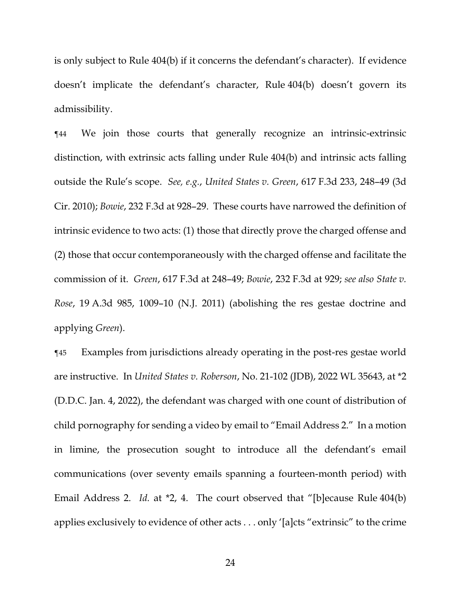is only subject to Rule 404(b) if it concerns the defendant's character). If evidence doesn't implicate the defendant's character, Rule 404(b) doesn't govern its admissibility.

¶44 We join those courts that generally recognize an intrinsic-extrinsic distinction, with extrinsic acts falling under Rule 404(b) and intrinsic acts falling outside the Rule's scope. *See, e.g.*, *United States v. Green*, 617 F.3d 233, 248–49 (3d Cir. 2010); *Bowie*, 232 F.3d at 928–29. These courts have narrowed the definition of intrinsic evidence to two acts: (1) those that directly prove the charged offense and (2) those that occur contemporaneously with the charged offense and facilitate the commission of it. *Green*, 617 F.3d at 248–49; *Bowie*, 232 F.3d at 929; *see also State v. Rose*, 19 A.3d 985, 1009–10 (N.J. 2011) (abolishing the res gestae doctrine and applying *Green*).

¶45 Examples from jurisdictions already operating in the post-res gestae world are instructive. In *United States v. Roberson*, No. 21-102 (JDB), 2022 WL 35643, at \*2 (D.D.C. Jan. 4, 2022), the defendant was charged with one count of distribution of child pornography for sending a video by email to "Email Address 2." In a motion in limine, the prosecution sought to introduce all the defendant's email communications (over seventy emails spanning a fourteen-month period) with Email Address 2. *Id.* at \*2, 4. The court observed that "[b]ecause Rule 404(b) applies exclusively to evidence of other acts . . . only '[a]cts "extrinsic" to the crime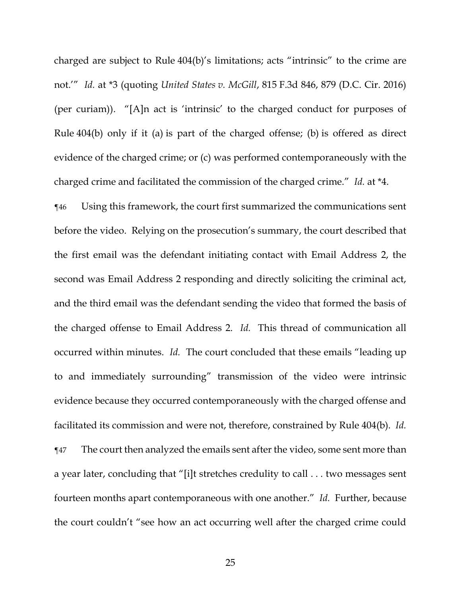charged are subject to Rule 404(b)'s limitations; acts "intrinsic" to the crime are not.'" *Id.* at \*3 (quoting *United States v. McGill*, 815 F.3d 846, 879 (D.C. Cir. 2016) (per curiam)). "[A]n act is 'intrinsic' to the charged conduct for purposes of Rule 404(b) only if it (a) is part of the charged offense; (b) is offered as direct evidence of the charged crime; or (c) was performed contemporaneously with the charged crime and facilitated the commission of the charged crime." *Id.* at \*4.

¶46 Using this framework, the court first summarized the communications sent before the video. Relying on the prosecution's summary, the court described that the first email was the defendant initiating contact with Email Address 2, the second was Email Address 2 responding and directly soliciting the criminal act, and the third email was the defendant sending the video that formed the basis of the charged offense to Email Address 2. *Id.* This thread of communication all occurred within minutes. *Id.* The court concluded that these emails "leading up to and immediately surrounding" transmission of the video were intrinsic evidence because they occurred contemporaneously with the charged offense and facilitated its commission and were not, therefore, constrained by Rule 404(b). *Id.*  ¶47 The court then analyzed the emails sent after the video, some sent more than a year later, concluding that "[i]t stretches credulity to call . . . two messages sent fourteen months apart contemporaneous with one another." *Id.* Further, because the court couldn't "see how an act occurring well after the charged crime could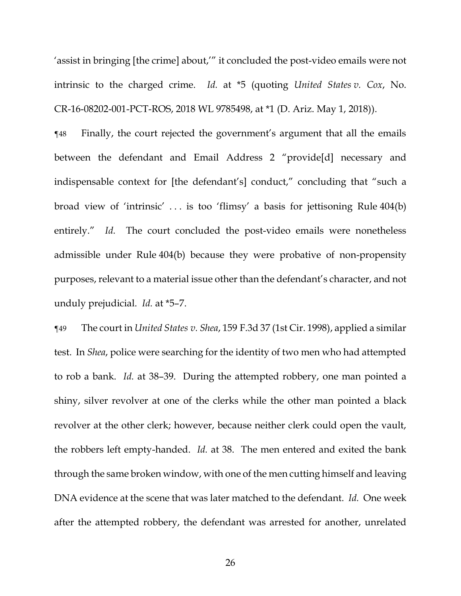'assist in bringing [the crime] about,'" it concluded the post-video emails were not intrinsic to the charged crime. *Id.* at \*5 (quoting *United States v. Cox*, No. CR-16-08202-001-PCT-ROS, 2018 WL 9785498, at \*1 (D. Ariz. May 1, 2018)).

¶48 Finally, the court rejected the government's argument that all the emails between the defendant and Email Address 2 "provide[d] necessary and indispensable context for [the defendant's] conduct," concluding that "such a broad view of 'intrinsic' . . . is too 'flimsy' a basis for jettisoning Rule 404(b) entirely." *Id.* The court concluded the post-video emails were nonetheless admissible under Rule 404(b) because they were probative of non-propensity purposes, relevant to a material issue other than the defendant's character, and not unduly prejudicial. *Id.* at \*5–7.

¶49 The court in *United States v. Shea*, 159 F.3d 37 (1st Cir. 1998), applied a similar test. In *Shea*, police were searching for the identity of two men who had attempted to rob a bank. *Id.* at 38–39. During the attempted robbery, one man pointed a shiny, silver revolver at one of the clerks while the other man pointed a black revolver at the other clerk; however, because neither clerk could open the vault, the robbers left empty-handed. *Id.* at 38. The men entered and exited the bank through the same broken window, with one of the men cutting himself and leaving DNA evidence at the scene that was later matched to the defendant. *Id.* One week after the attempted robbery, the defendant was arrested for another, unrelated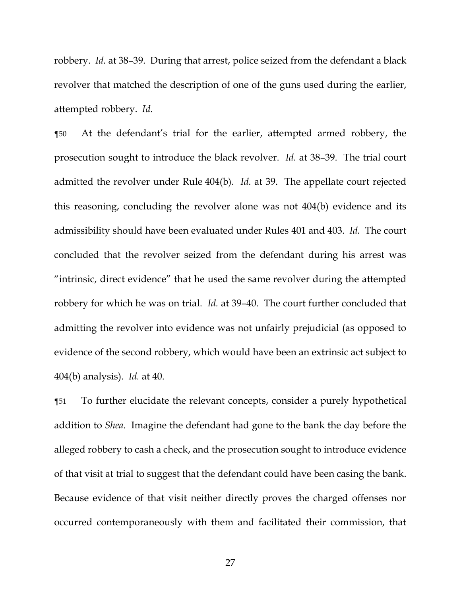robbery. *Id.* at 38–39. During that arrest, police seized from the defendant a black revolver that matched the description of one of the guns used during the earlier, attempted robbery. *Id.*

¶50 At the defendant's trial for the earlier, attempted armed robbery, the prosecution sought to introduce the black revolver. *Id.* at 38–39. The trial court admitted the revolver under Rule 404(b). *Id.* at 39. The appellate court rejected this reasoning, concluding the revolver alone was not 404(b) evidence and its admissibility should have been evaluated under Rules 401 and 403. *Id.* The court concluded that the revolver seized from the defendant during his arrest was "intrinsic, direct evidence" that he used the same revolver during the attempted robbery for which he was on trial. *Id.* at 39–40. The court further concluded that admitting the revolver into evidence was not unfairly prejudicial (as opposed to evidence of the second robbery, which would have been an extrinsic act subject to 404(b) analysis). *Id.* at 40.

¶51 To further elucidate the relevant concepts, consider a purely hypothetical addition to *Shea*. Imagine the defendant had gone to the bank the day before the alleged robbery to cash a check, and the prosecution sought to introduce evidence of that visit at trial to suggest that the defendant could have been casing the bank. Because evidence of that visit neither directly proves the charged offenses nor occurred contemporaneously with them and facilitated their commission, that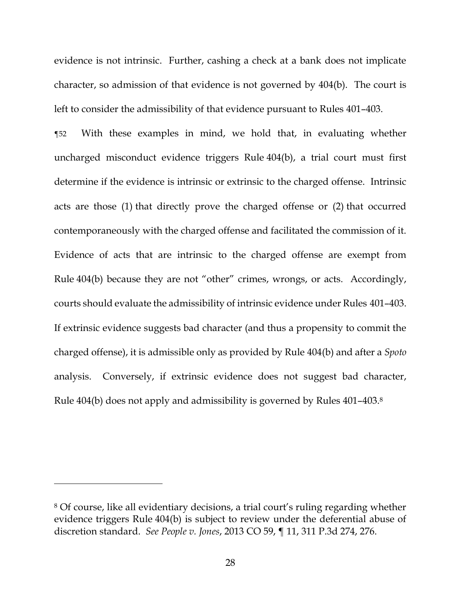evidence is not intrinsic. Further, cashing a check at a bank does not implicate character, so admission of that evidence is not governed by 404(b). The court is left to consider the admissibility of that evidence pursuant to Rules 401–403.

¶52 With these examples in mind, we hold that, in evaluating whether uncharged misconduct evidence triggers Rule 404(b), a trial court must first determine if the evidence is intrinsic or extrinsic to the charged offense. Intrinsic acts are those (1) that directly prove the charged offense or (2) that occurred contemporaneously with the charged offense and facilitated the commission of it. Evidence of acts that are intrinsic to the charged offense are exempt from Rule 404(b) because they are not "other" crimes, wrongs, or acts. Accordingly, courts should evaluate the admissibility of intrinsic evidence under Rules 401–403. If extrinsic evidence suggests bad character (and thus a propensity to commit the charged offense), it is admissible only as provided by Rule 404(b) and after a *Spoto*  analysis. Conversely, if extrinsic evidence does not suggest bad character, Rule 404(b) does not apply and admissibility is governed by Rules 401–403. 8

<sup>8</sup> Of course, like all evidentiary decisions, a trial court's ruling regarding whether evidence triggers Rule 404(b) is subject to review under the deferential abuse of discretion standard. *See People v. Jones*, 2013 CO 59, ¶ 11, 311 P.3d 274, 276.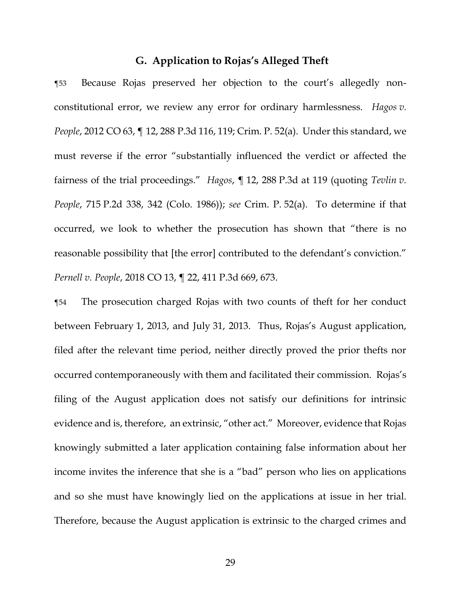### **G. Application to Rojas's Alleged Theft**

¶53 Because Rojas preserved her objection to the court's allegedly nonconstitutional error, we review any error for ordinary harmlessness. *Hagos v. People*, 2012 CO 63, ¶ 12, 288 P.3d 116, 119; Crim. P. 52(a). Under this standard, we must reverse if the error "substantially influenced the verdict or affected the fairness of the trial proceedings." *Hagos*, ¶ 12, 288 P.3d at 119 (quoting *Tevlin v. People*, 715 P.2d 338, 342 (Colo. 1986)); *see* Crim. P. 52(a). To determine if that occurred, we look to whether the prosecution has shown that "there is no reasonable possibility that [the error] contributed to the defendant's conviction." *Pernell v. People*, 2018 CO 13, ¶ 22, 411 P.3d 669, 673.

¶54 The prosecution charged Rojas with two counts of theft for her conduct between February 1, 2013, and July 31, 2013. Thus, Rojas's August application, filed after the relevant time period, neither directly proved the prior thefts nor occurred contemporaneously with them and facilitated their commission. Rojas's filing of the August application does not satisfy our definitions for intrinsic evidence and is, therefore, an extrinsic, "other act." Moreover, evidence that Rojas knowingly submitted a later application containing false information about her income invites the inference that she is a "bad" person who lies on applications and so she must have knowingly lied on the applications at issue in her trial. Therefore, because the August application is extrinsic to the charged crimes and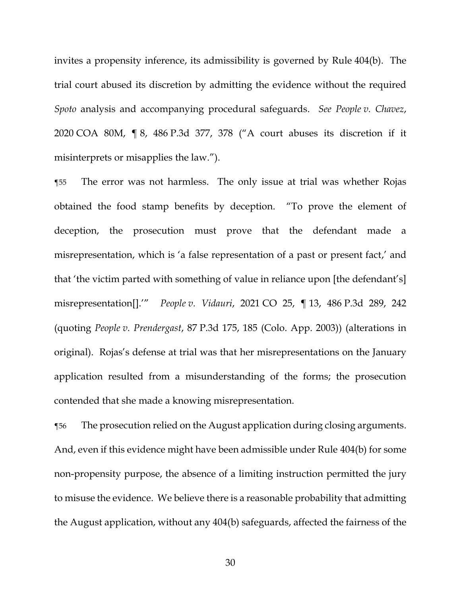invites a propensity inference, its admissibility is governed by Rule 404(b). The trial court abused its discretion by admitting the evidence without the required *Spoto* analysis and accompanying procedural safeguards. *See People v. Chavez*, 2020 COA 80M, ¶ 8, 486 P.3d 377, 378 ("A court abuses its discretion if it misinterprets or misapplies the law.").

¶55 The error was not harmless. The only issue at trial was whether Rojas obtained the food stamp benefits by deception. "To prove the element of deception, the prosecution must prove that the defendant made a misrepresentation, which is 'a false representation of a past or present fact,' and that 'the victim parted with something of value in reliance upon [the defendant's] misrepresentation[].'" *People v. Vidauri*, 2021 CO 25, ¶ 13, 486 P.3d 289, 242 (quoting *People v. Prendergast*, 87 P.3d 175, 185 (Colo. App. 2003)) (alterations in original). Rojas's defense at trial was that her misrepresentations on the January application resulted from a misunderstanding of the forms; the prosecution contended that she made a knowing misrepresentation.

¶56 The prosecution relied on the August application during closing arguments. And, even if this evidence might have been admissible under Rule 404(b) for some non-propensity purpose, the absence of a limiting instruction permitted the jury to misuse the evidence. We believe there is a reasonable probability that admitting the August application, without any 404(b) safeguards, affected the fairness of the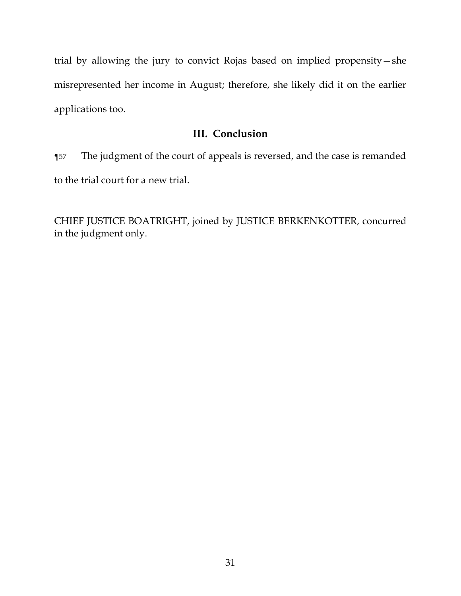trial by allowing the jury to convict Rojas based on implied propensity—she misrepresented her income in August; therefore, she likely did it on the earlier applications too.

# **III. Conclusion**

¶57 The judgment of the court of appeals is reversed, and the case is remanded to the trial court for a new trial.

CHIEF JUSTICE BOATRIGHT, joined by JUSTICE BERKENKOTTER, concurred in the judgment only.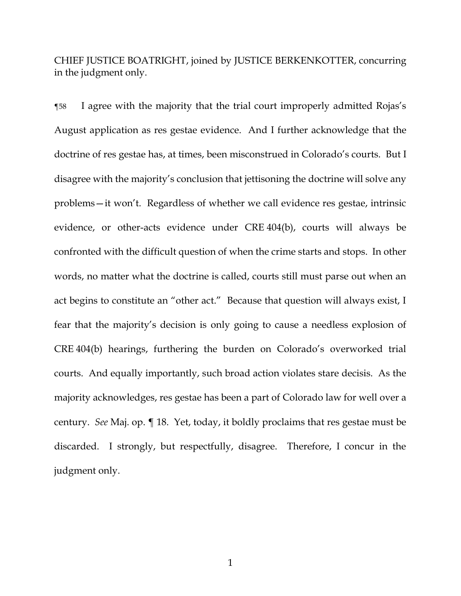CHIEF JUSTICE BOATRIGHT, joined by JUSTICE BERKENKOTTER, concurring in the judgment only.

¶58 I agree with the majority that the trial court improperly admitted Rojas's August application as res gestae evidence. And I further acknowledge that the doctrine of res gestae has, at times, been misconstrued in Colorado's courts. But I disagree with the majority's conclusion that jettisoning the doctrine will solve any problems—it won't. Regardless of whether we call evidence res gestae, intrinsic evidence, or other-acts evidence under CRE 404(b), courts will always be confronted with the difficult question of when the crime starts and stops. In other words, no matter what the doctrine is called, courts still must parse out when an act begins to constitute an "other act." Because that question will always exist, I fear that the majority's decision is only going to cause a needless explosion of CRE 404(b) hearings, furthering the burden on Colorado's overworked trial courts. And equally importantly, such broad action violates stare decisis. As the majority acknowledges, res gestae has been a part of Colorado law for well over a century. *See* Maj. op. ¶ 18. Yet, today, it boldly proclaims that res gestae must be discarded. I strongly, but respectfully, disagree. Therefore, I concur in the judgment only.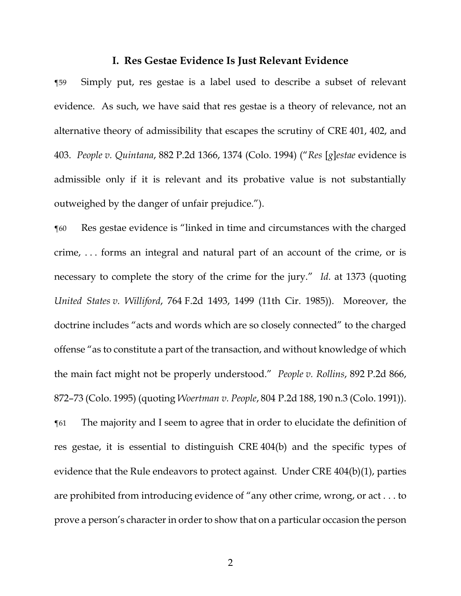#### **I. Res Gestae Evidence Is Just Relevant Evidence**

¶59 Simply put, res gestae is a label used to describe a subset of relevant evidence. As such, we have said that res gestae is a theory of relevance, not an alternative theory of admissibility that escapes the scrutiny of CRE 401, 402, and 403. *People v. Quintana*, 882 P.2d 1366, 1374 (Colo. 1994) ("*Res* [*g*]*estae* evidence is admissible only if it is relevant and its probative value is not substantially outweighed by the danger of unfair prejudice.").

¶60 Res gestae evidence is "linked in time and circumstances with the charged crime, . . . forms an integral and natural part of an account of the crime, or is necessary to complete the story of the crime for the jury." *Id.* at 1373 (quoting *United States v. Williford*, 764 F.2d 1493, 1499 (11th Cir. 1985)). Moreover, the doctrine includes "acts and words which are so closely connected" to the charged offense "as to constitute a part of the transaction, and without knowledge of which the main fact might not be properly understood." *People v. Rollins*, 892 P.2d 866, 872–73 (Colo. 1995) (quoting *Woertman v. People*, 804 P.2d 188, 190 n.3 (Colo. 1991)).

¶61 The majority and I seem to agree that in order to elucidate the definition of res gestae, it is essential to distinguish CRE 404(b) and the specific types of evidence that the Rule endeavors to protect against. Under CRE 404(b)(1), parties are prohibited from introducing evidence of "any other crime, wrong, or act . . . to prove a person's character in order to show that on a particular occasion the person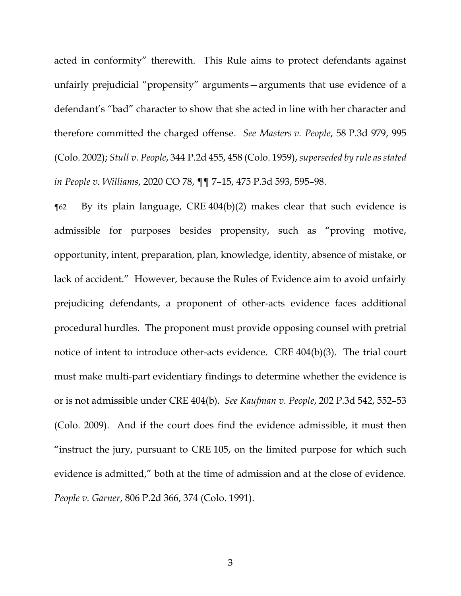acted in conformity" therewith. This Rule aims to protect defendants against unfairly prejudicial "propensity" arguments—arguments that use evidence of a defendant's "bad" character to show that she acted in line with her character and therefore committed the charged offense. *See Masters v. People*, 58 P.3d 979, 995 (Colo. 2002); *Stull v. People*, 344 P.2d 455, 458 (Colo. 1959), *superseded by rule as stated in People v. Williams*, 2020 CO 78, ¶¶ 7–15, 475 P.3d 593, 595–98.

¶62 By its plain language, CRE 404(b)(2) makes clear that such evidence is admissible for purposes besides propensity, such as "proving motive, opportunity, intent, preparation, plan, knowledge, identity, absence of mistake, or lack of accident." However, because the Rules of Evidence aim to avoid unfairly prejudicing defendants, a proponent of other-acts evidence faces additional procedural hurdles. The proponent must provide opposing counsel with pretrial notice of intent to introduce other-acts evidence. CRE 404(b)(3). The trial court must make multi-part evidentiary findings to determine whether the evidence is or is not admissible under CRE 404(b). *See Kaufman v. People*, 202 P.3d 542, 552–53 (Colo. 2009). And if the court does find the evidence admissible, it must then "instruct the jury, pursuant to CRE 105, on the limited purpose for which such evidence is admitted," both at the time of admission and at the close of evidence. *People v. Garner*, 806 P.2d 366, 374 (Colo. 1991).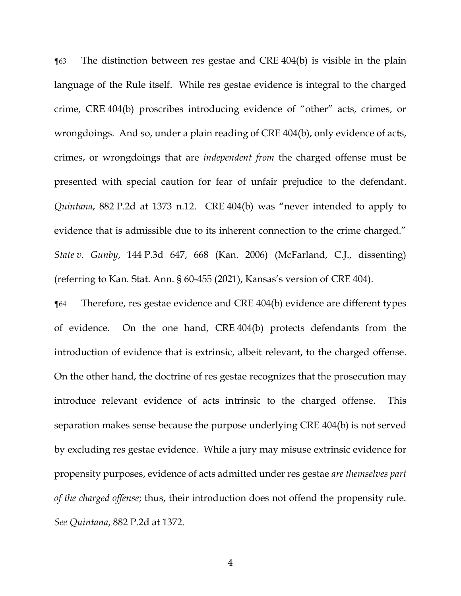¶63 The distinction between res gestae and CRE 404(b) is visible in the plain language of the Rule itself. While res gestae evidence is integral to the charged crime, CRE 404(b) proscribes introducing evidence of "other" acts, crimes, or wrongdoings. And so, under a plain reading of CRE 404(b), only evidence of acts, crimes, or wrongdoings that are *independent from* the charged offense must be presented with special caution for fear of unfair prejudice to the defendant. *Quintana*, 882 P.2d at 1373 n.12. CRE 404(b) was "never intended to apply to evidence that is admissible due to its inherent connection to the crime charged." *State v. Gunby*, 144 P.3d 647, 668 (Kan. 2006) (McFarland, C.J., dissenting) (referring to Kan. Stat. Ann. § 60-455 (2021), Kansas's version of CRE 404).

¶64 Therefore, res gestae evidence and CRE 404(b) evidence are different types of evidence. On the one hand, CRE 404(b) protects defendants from the introduction of evidence that is extrinsic, albeit relevant, to the charged offense. On the other hand, the doctrine of res gestae recognizes that the prosecution may introduce relevant evidence of acts intrinsic to the charged offense. This separation makes sense because the purpose underlying CRE 404(b) is not served by excluding res gestae evidence. While a jury may misuse extrinsic evidence for propensity purposes, evidence of acts admitted under res gestae *are themselves part of the charged offense*; thus, their introduction does not offend the propensity rule. *See Quintana*, 882 P.2d at 1372.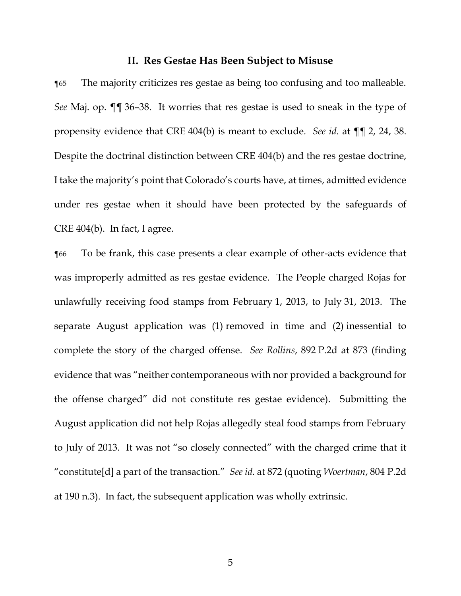#### **II. Res Gestae Has Been Subject to Misuse**

¶65 The majority criticizes res gestae as being too confusing and too malleable. *See* Maj. op. ¶¶ 36–38. It worries that res gestae is used to sneak in the type of propensity evidence that CRE 404(b) is meant to exclude. *See id.* at ¶¶ 2, 24, 38. Despite the doctrinal distinction between CRE 404(b) and the res gestae doctrine, I take the majority's point that Colorado's courts have, at times, admitted evidence under res gestae when it should have been protected by the safeguards of CRE 404(b). In fact, I agree.

¶66 To be frank, this case presents a clear example of other-acts evidence that was improperly admitted as res gestae evidence. The People charged Rojas for unlawfully receiving food stamps from February 1, 2013, to July 31, 2013. The separate August application was (1) removed in time and (2) inessential to complete the story of the charged offense. *See Rollins*, 892 P.2d at 873 (finding evidence that was "neither contemporaneous with nor provided a background for the offense charged" did not constitute res gestae evidence). Submitting the August application did not help Rojas allegedly steal food stamps from February to July of 2013. It was not "so closely connected" with the charged crime that it "constitute[d] a part of the transaction." *See id.* at 872 (quoting *Woertman*, 804 P.2d at 190 n.3). In fact, the subsequent application was wholly extrinsic.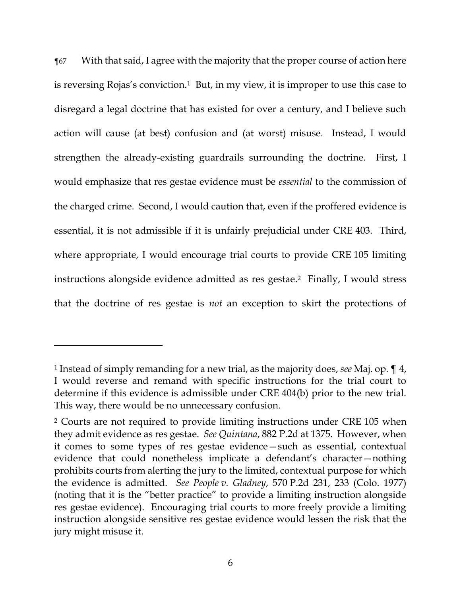¶67 With that said, I agree with the majority that the proper course of action here is reversing Rojas's conviction.1 But, in my view, it is improper to use this case to disregard a legal doctrine that has existed for over a century, and I believe such action will cause (at best) confusion and (at worst) misuse. Instead, I would strengthen the already-existing guardrails surrounding the doctrine. First, I would emphasize that res gestae evidence must be *essential* to the commission of the charged crime. Second, I would caution that, even if the proffered evidence is essential, it is not admissible if it is unfairly prejudicial under CRE 403. Third, where appropriate, I would encourage trial courts to provide CRE 105 limiting instructions alongside evidence admitted as res gestae. <sup>2</sup> Finally, I would stress that the doctrine of res gestae is *not* an exception to skirt the protections of

<sup>1</sup> Instead of simply remanding for a new trial, as the majority does, *see* Maj. op. ¶ 4, I would reverse and remand with specific instructions for the trial court to determine if this evidence is admissible under CRE 404(b) prior to the new trial. This way, there would be no unnecessary confusion.

<sup>2</sup> Courts are not required to provide limiting instructions under CRE 105 when they admit evidence as res gestae. *See Quintana*, 882 P.2d at 1375. However, when it comes to some types of res gestae evidence—such as essential, contextual evidence that could nonetheless implicate a defendant's character—nothing prohibits courts from alerting the jury to the limited, contextual purpose for which the evidence is admitted. *See People v. Gladney*, 570 P.2d 231, 233 (Colo. 1977) (noting that it is the "better practice" to provide a limiting instruction alongside res gestae evidence). Encouraging trial courts to more freely provide a limiting instruction alongside sensitive res gestae evidence would lessen the risk that the jury might misuse it.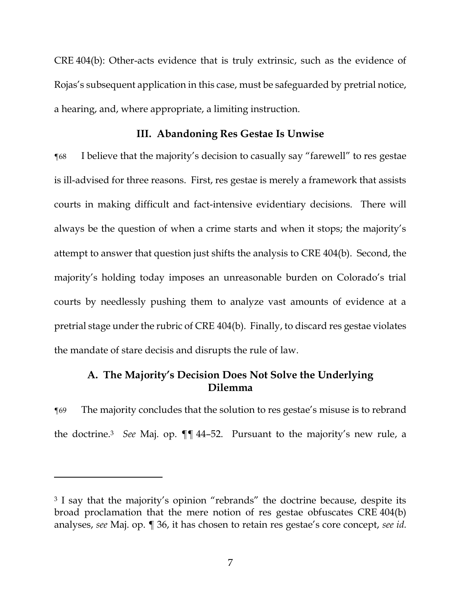CRE 404(b): Other-acts evidence that is truly extrinsic, such as the evidence of Rojas's subsequent application in this case, must be safeguarded by pretrial notice, a hearing, and, where appropriate, a limiting instruction.

# **III. Abandoning Res Gestae Is Unwise**

¶68 I believe that the majority's decision to casually say "farewell" to res gestae is ill-advised for three reasons. First, res gestae is merely a framework that assists courts in making difficult and fact-intensive evidentiary decisions. There will always be the question of when a crime starts and when it stops; the majority's attempt to answer that question just shifts the analysis to CRE 404(b). Second, the majority's holding today imposes an unreasonable burden on Colorado's trial courts by needlessly pushing them to analyze vast amounts of evidence at a pretrial stage under the rubric of CRE 404(b). Finally, to discard res gestae violates the mandate of stare decisis and disrupts the rule of law.

# **A. The Majority's Decision Does Not Solve the Underlying Dilemma**

¶69 The majority concludes that the solution to res gestae's misuse is to rebrand the doctrine. <sup>3</sup> *See* Maj. op. ¶¶ 44–52. Pursuant to the majority's new rule, a

<sup>&</sup>lt;sup>3</sup> I say that the majority's opinion "rebrands" the doctrine because, despite its broad proclamation that the mere notion of res gestae obfuscates CRE 404(b) analyses, *see* Maj. op. ¶ 36, it has chosen to retain res gestae's core concept, *see id.*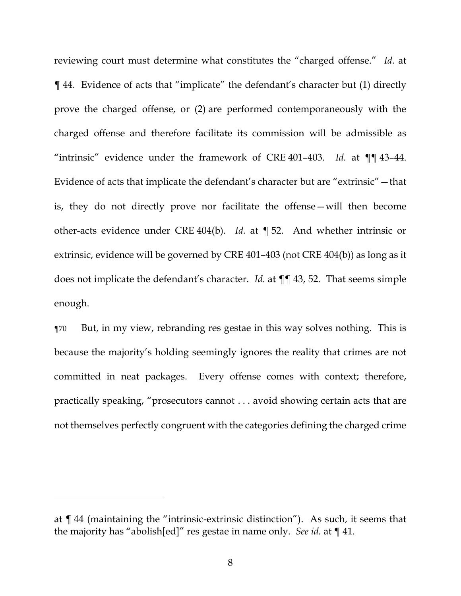reviewing court must determine what constitutes the "charged offense." *Id.* at ¶ 44. Evidence of acts that "implicate" the defendant's character but (1) directly prove the charged offense, or (2) are performed contemporaneously with the charged offense and therefore facilitate its commission will be admissible as "intrinsic" evidence under the framework of CRE 401–403. *Id.* at ¶¶ 43–44. Evidence of acts that implicate the defendant's character but are "extrinsic"—that is, they do not directly prove nor facilitate the offense—will then become other-acts evidence under CRE 404(b). *Id.* at ¶ 52. And whether intrinsic or extrinsic, evidence will be governed by CRE 401–403 (not CRE 404(b)) as long as it does not implicate the defendant's character. *Id.* at ¶¶ 43, 52. That seems simple enough.

¶70 But, in my view, rebranding res gestae in this way solves nothing. This is because the majority's holding seemingly ignores the reality that crimes are not committed in neat packages. Every offense comes with context; therefore, practically speaking, "prosecutors cannot . . . avoid showing certain acts that are not themselves perfectly congruent with the categories defining the charged crime

at ¶ 44 (maintaining the "intrinsic-extrinsic distinction"). As such, it seems that the majority has "abolish[ed]" res gestae in name only. *See id.* at ¶ 41.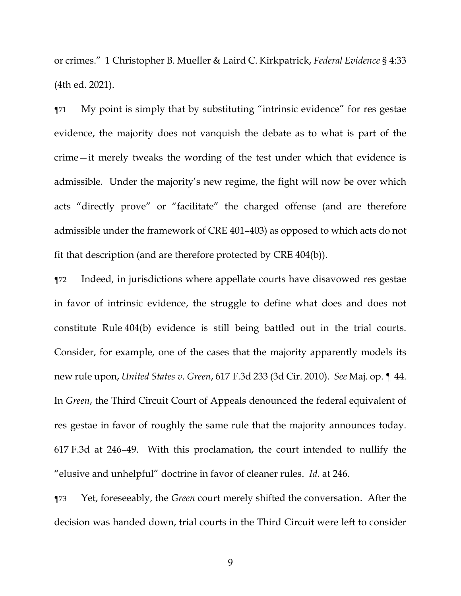or crimes." 1 Christopher B. Mueller & Laird C. Kirkpatrick, *Federal Evidence* § 4:33 (4th ed. 2021).

¶71 My point is simply that by substituting "intrinsic evidence" for res gestae evidence, the majority does not vanquish the debate as to what is part of the crime—it merely tweaks the wording of the test under which that evidence is admissible. Under the majority's new regime, the fight will now be over which acts "directly prove" or "facilitate" the charged offense (and are therefore admissible under the framework of CRE 401–403) as opposed to which acts do not fit that description (and are therefore protected by CRE 404(b)).

¶72 Indeed, in jurisdictions where appellate courts have disavowed res gestae in favor of intrinsic evidence, the struggle to define what does and does not constitute Rule 404(b) evidence is still being battled out in the trial courts. Consider, for example, one of the cases that the majority apparently models its new rule upon, *United States v. Green*, 617 F.3d 233 (3d Cir. 2010). *See* Maj. op. ¶ 44. In *Green*, the Third Circuit Court of Appeals denounced the federal equivalent of res gestae in favor of roughly the same rule that the majority announces today. 617 F.3d at 246–49. With this proclamation, the court intended to nullify the "elusive and unhelpful" doctrine in favor of cleaner rules. *Id.* at 246.

¶73 Yet, foreseeably, the *Green* court merely shifted the conversation. After the decision was handed down, trial courts in the Third Circuit were left to consider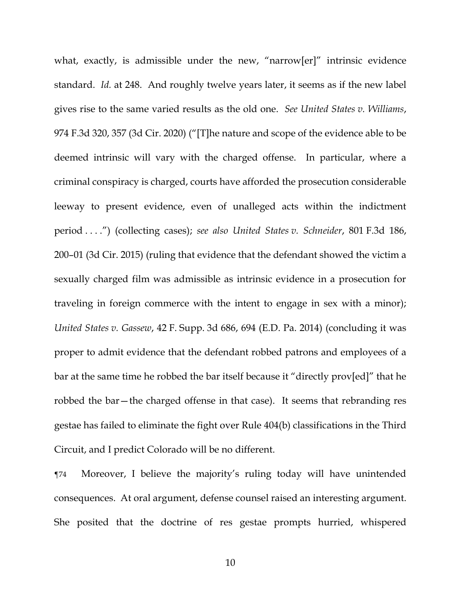what, exactly, is admissible under the new, "narrow[er]" intrinsic evidence standard. *Id.* at 248. And roughly twelve years later, it seems as if the new label gives rise to the same varied results as the old one. *See United States v. Williams*, 974 F.3d 320, 357 (3d Cir. 2020) ("[T]he nature and scope of the evidence able to be deemed intrinsic will vary with the charged offense. In particular, where a criminal conspiracy is charged, courts have afforded the prosecution considerable leeway to present evidence, even of unalleged acts within the indictment period . . . .") (collecting cases); *see also United States v. Schneider*, 801 F.3d 186, 200–01 (3d Cir. 2015) (ruling that evidence that the defendant showed the victim a sexually charged film was admissible as intrinsic evidence in a prosecution for traveling in foreign commerce with the intent to engage in sex with a minor); *United States v. Gassew*, 42 F. Supp. 3d 686, 694 (E.D. Pa. 2014) (concluding it was proper to admit evidence that the defendant robbed patrons and employees of a bar at the same time he robbed the bar itself because it "directly prov[ed]" that he robbed the bar—the charged offense in that case). It seems that rebranding res gestae has failed to eliminate the fight over Rule 404(b) classifications in the Third Circuit, and I predict Colorado will be no different.

¶74 Moreover, I believe the majority's ruling today will have unintended consequences. At oral argument, defense counsel raised an interesting argument. She posited that the doctrine of res gestae prompts hurried, whispered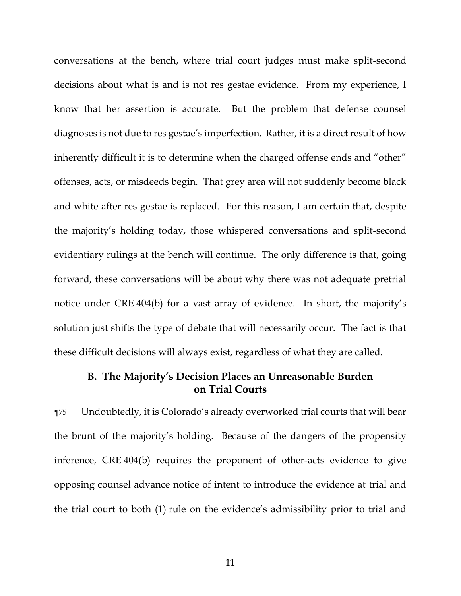conversations at the bench, where trial court judges must make split-second decisions about what is and is not res gestae evidence. From my experience, I know that her assertion is accurate. But the problem that defense counsel diagnoses is not due to res gestae's imperfection. Rather, it is a direct result of how inherently difficult it is to determine when the charged offense ends and "other" offenses, acts, or misdeeds begin. That grey area will not suddenly become black and white after res gestae is replaced. For this reason, I am certain that, despite the majority's holding today, those whispered conversations and split-second evidentiary rulings at the bench will continue. The only difference is that, going forward, these conversations will be about why there was not adequate pretrial notice under CRE 404(b) for a vast array of evidence. In short, the majority's solution just shifts the type of debate that will necessarily occur. The fact is that these difficult decisions will always exist, regardless of what they are called.

# **B. The Majority's Decision Places an Unreasonable Burden on Trial Courts**

¶75 Undoubtedly, it is Colorado's already overworked trial courts that will bear the brunt of the majority's holding. Because of the dangers of the propensity inference, CRE 404(b) requires the proponent of other-acts evidence to give opposing counsel advance notice of intent to introduce the evidence at trial and the trial court to both (1) rule on the evidence's admissibility prior to trial and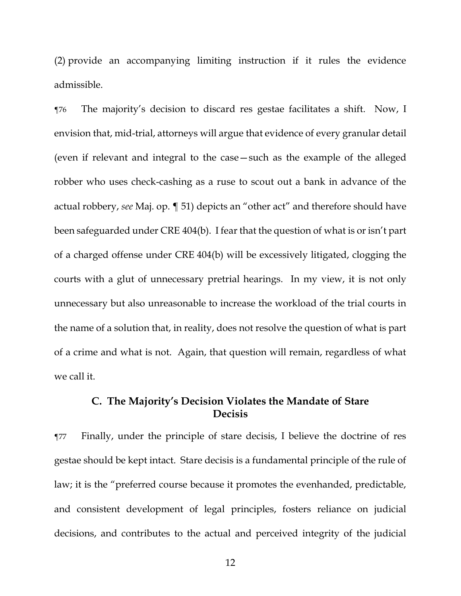(2) provide an accompanying limiting instruction if it rules the evidence admissible.

¶76 The majority's decision to discard res gestae facilitates a shift. Now, I envision that, mid-trial, attorneys will argue that evidence of every granular detail (even if relevant and integral to the case—such as the example of the alleged robber who uses check-cashing as a ruse to scout out a bank in advance of the actual robbery, *see* Maj. op. ¶ 51) depicts an "other act" and therefore should have been safeguarded under CRE 404(b). I fear that the question of what is or isn't part of a charged offense under CRE 404(b) will be excessively litigated, clogging the courts with a glut of unnecessary pretrial hearings. In my view, it is not only unnecessary but also unreasonable to increase the workload of the trial courts in the name of a solution that, in reality, does not resolve the question of what is part of a crime and what is not. Again, that question will remain, regardless of what we call it.

# **C. The Majority's Decision Violates the Mandate of Stare Decisis**

¶77 Finally, under the principle of stare decisis, I believe the doctrine of res gestae should be kept intact. Stare decisis is a fundamental principle of the rule of law; it is the "preferred course because it promotes the evenhanded, predictable, and consistent development of legal principles, fosters reliance on judicial decisions, and contributes to the actual and perceived integrity of the judicial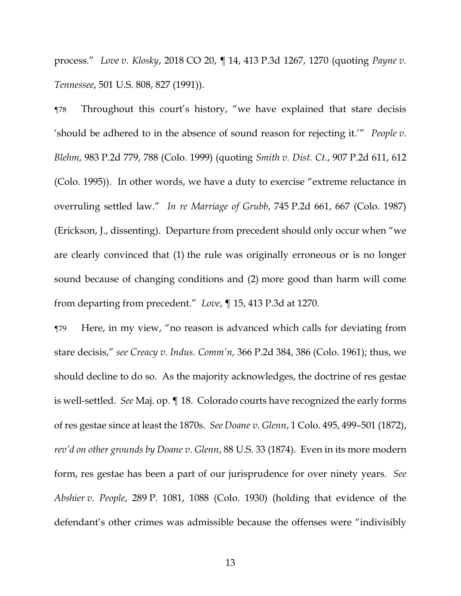process." *Love v. Klosky*, 2018 CO 20, ¶ 14, 413 P.3d 1267, 1270 (quoting *Payne v. Tennessee*, 501 U.S. 808, 827 (1991)).

¶78 Throughout this court's history, "we have explained that stare decisis 'should be adhered to in the absence of sound reason for rejecting it.'" *People v. Blehm*, 983 P.2d 779, 788 (Colo. 1999) (quoting *Smith v. Dist. Ct.*, 907 P.2d 611, 612 (Colo. 1995)). In other words, we have a duty to exercise "extreme reluctance in overruling settled law." *In re Marriage of Grubb*, 745 P.2d 661, 667 (Colo. 1987) (Erickson, J., dissenting). Departure from precedent should only occur when "we are clearly convinced that (1) the rule was originally erroneous or is no longer sound because of changing conditions and (2) more good than harm will come from departing from precedent." *Love*, ¶ 15, 413 P.3d at 1270.

¶79 Here, in my view, "no reason is advanced which calls for deviating from stare decisis," *see Creacy v. Indus. Comm'n*, 366 P.2d 384, 386 (Colo. 1961); thus, we should decline to do so. As the majority acknowledges, the doctrine of res gestae is well-settled. *See* Maj. op. ¶ 18. Colorado courts have recognized the early forms of res gestae since at least the 1870s. *See Doane v. Glenn*, 1 Colo. 495, 499–501 (1872), *rev'd on other grounds by Doane v. Glenn*, 88 U.S. 33 (1874). Even in its more modern form, res gestae has been a part of our jurisprudence for over ninety years. *See Abshier v. People*, 289 P. 1081, 1088 (Colo. 1930) (holding that evidence of the defendant's other crimes was admissible because the offenses were "indivisibly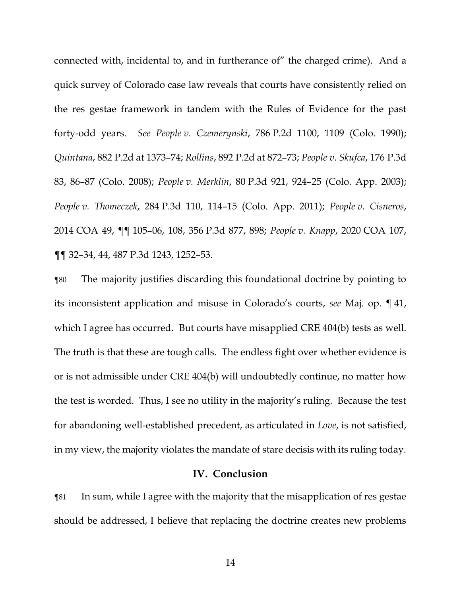connected with, incidental to, and in furtherance of" the charged crime). And a quick survey of Colorado case law reveals that courts have consistently relied on the res gestae framework in tandem with the Rules of Evidence for the past forty-odd years. *See People v. Czemerynski*, 786 P.2d 1100, 1109 (Colo. 1990); *Quintana*, 882 P.2d at 1373–74; *Rollins*, 892 P.2d at 872–73; *People v. Skufca*, 176 P.3d 83, 86–87 (Colo. 2008); *People v. Merklin*, 80 P.3d 921, 924–25 (Colo. App. 2003); *People v. Thomeczek*, 284 P.3d 110, 114–15 (Colo. App. 2011); *People v. Cisneros*, 2014 COA 49, ¶¶ 105–06, 108, 356 P.3d 877, 898; *People v. Knapp*, 2020 COA 107, ¶¶ 32–34, 44, 487 P.3d 1243, 1252–53.

¶80 The majority justifies discarding this foundational doctrine by pointing to its inconsistent application and misuse in Colorado's courts, *see* Maj. op. ¶ 41, which I agree has occurred. But courts have misapplied CRE 404(b) tests as well. The truth is that these are tough calls. The endless fight over whether evidence is or is not admissible under CRE 404(b) will undoubtedly continue, no matter how the test is worded. Thus, I see no utility in the majority's ruling. Because the test for abandoning well-established precedent, as articulated in *Love*, is not satisfied, in my view, the majority violates the mandate of stare decisis with its ruling today.

# **IV. Conclusion**

¶81 In sum, while I agree with the majority that the misapplication of res gestae should be addressed, I believe that replacing the doctrine creates new problems